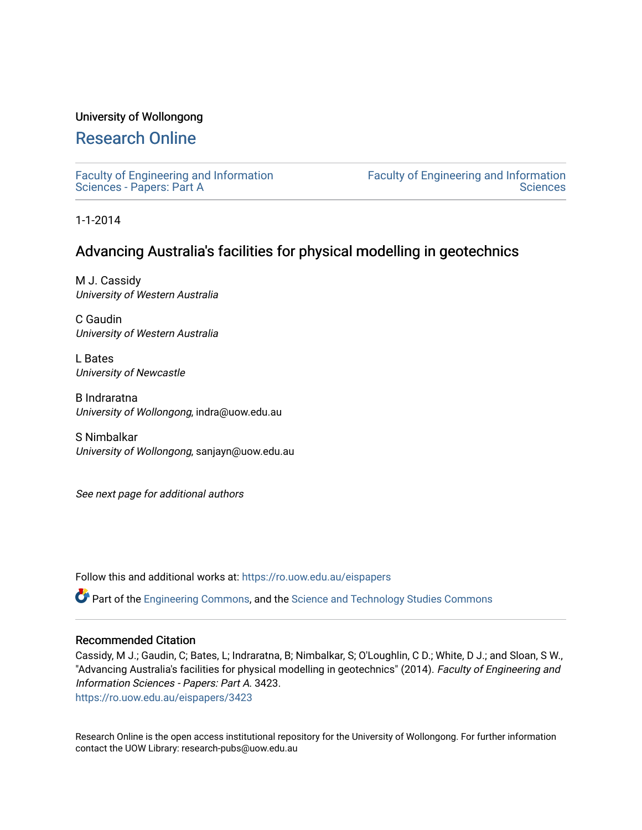### University of Wollongong

# [Research Online](https://ro.uow.edu.au/)

[Faculty of Engineering and Information](https://ro.uow.edu.au/eispapers)  [Sciences - Papers: Part A](https://ro.uow.edu.au/eispapers) 

[Faculty of Engineering and Information](https://ro.uow.edu.au/eis)  **Sciences** 

1-1-2014

# Advancing Australia's facilities for physical modelling in geotechnics

M J. Cassidy University of Western Australia

C Gaudin University of Western Australia

L Bates University of Newcastle

B Indraratna University of Wollongong, indra@uow.edu.au

S Nimbalkar University of Wollongong, sanjayn@uow.edu.au

See next page for additional authors

Follow this and additional works at: [https://ro.uow.edu.au/eispapers](https://ro.uow.edu.au/eispapers?utm_source=ro.uow.edu.au%2Feispapers%2F3423&utm_medium=PDF&utm_campaign=PDFCoverPages)

Part of the [Engineering Commons](http://network.bepress.com/hgg/discipline/217?utm_source=ro.uow.edu.au%2Feispapers%2F3423&utm_medium=PDF&utm_campaign=PDFCoverPages), and the [Science and Technology Studies Commons](http://network.bepress.com/hgg/discipline/435?utm_source=ro.uow.edu.au%2Feispapers%2F3423&utm_medium=PDF&utm_campaign=PDFCoverPages)

### Recommended Citation

Cassidy, M J.; Gaudin, C; Bates, L; Indraratna, B; Nimbalkar, S; O'Loughlin, C D.; White, D J.; and Sloan, S W., "Advancing Australia's facilities for physical modelling in geotechnics" (2014). Faculty of Engineering and Information Sciences - Papers: Part A. 3423.

[https://ro.uow.edu.au/eispapers/3423](https://ro.uow.edu.au/eispapers/3423?utm_source=ro.uow.edu.au%2Feispapers%2F3423&utm_medium=PDF&utm_campaign=PDFCoverPages) 

Research Online is the open access institutional repository for the University of Wollongong. For further information contact the UOW Library: research-pubs@uow.edu.au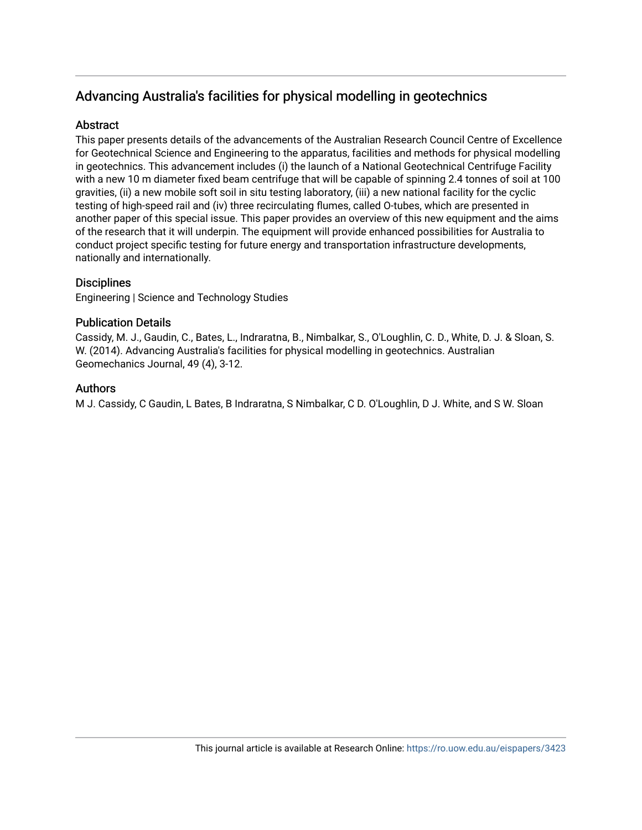# Advancing Australia's facilities for physical modelling in geotechnics

### **Abstract**

This paper presents details of the advancements of the Australian Research Council Centre of Excellence for Geotechnical Science and Engineering to the apparatus, facilities and methods for physical modelling in geotechnics. This advancement includes (i) the launch of a National Geotechnical Centrifuge Facility with a new 10 m diameter fixed beam centrifuge that will be capable of spinning 2.4 tonnes of soil at 100 gravities, (ii) a new mobile soft soil in situ testing laboratory, (iii) a new national facility for the cyclic testing of high-speed rail and (iv) three recirculating flumes, called O-tubes, which are presented in another paper of this special issue. This paper provides an overview of this new equipment and the aims of the research that it will underpin. The equipment will provide enhanced possibilities for Australia to conduct project specific testing for future energy and transportation infrastructure developments, nationally and internationally.

## **Disciplines**

Engineering | Science and Technology Studies

## Publication Details

Cassidy, M. J., Gaudin, C., Bates, L., Indraratna, B., Nimbalkar, S., O'Loughlin, C. D., White, D. J. & Sloan, S. W. (2014). Advancing Australia's facilities for physical modelling in geotechnics. Australian Geomechanics Journal, 49 (4), 3-12.

## **Authors**

M J. Cassidy, C Gaudin, L Bates, B Indraratna, S Nimbalkar, C D. O'Loughlin, D J. White, and S W. Sloan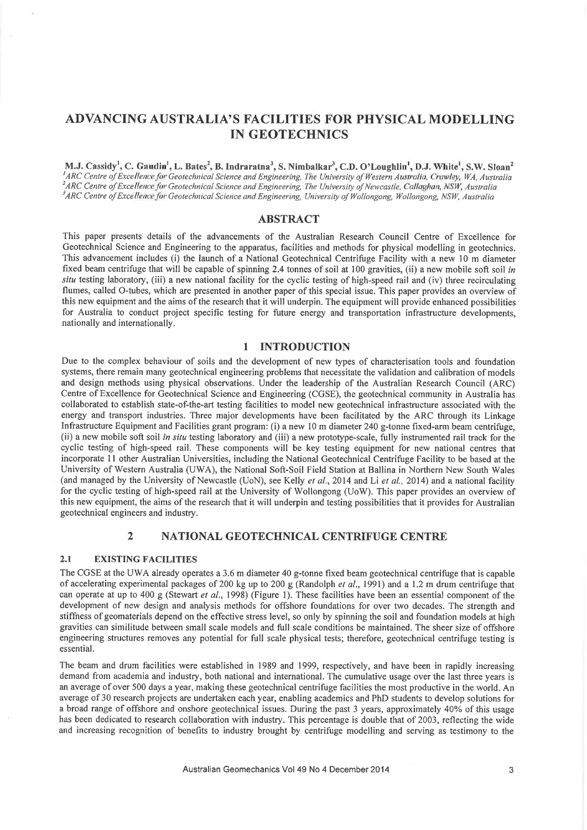## **ADVANCING AUSTRALIA'S FACILITIES FOR PHYSICAL MODELLING IN GEOTECHNICS**

M.J. Cassidy<sup>1</sup>, C. Gaudin<sup>1</sup>, L. Bates<sup>2</sup>, B. Indraratna<sup>3</sup>, S. Nimbalkar<sup>3</sup>, C.D. O'Loughlin<sup>1</sup>, D.J. White<sup>1</sup>, S.W. Sloan<sup>2</sup> <sup>1</sup>ARC Centre of Excellence for Geotechnical Science and Engineering, The University of Western Australia, Crawley, WA, Australia <sup>2</sup>ARC Centre of Excellence for Geotechnical Science and Engineering, The University of Newcastle, Callaghan, NSW, Australia <sup>3</sup>ARC Centre of Excellence for Geotechnical Science and Engineering, University of Wollongong, Wollongong, NSW, Australia

### **ABSTRACT**

This paper presents details of the advancements of the Australian Research Council Centre of Excellence for Geotechnical Science and Engineering to the apparatus, facilities and methods for physical modelling in geotechnics. This advancement includes (i) the launch of a National Geotechnical Centrifuge Facility with a new 10 m diameter fixed beam centrifuge that will be capable of spinning 2.4 tonnes of soil at 100 gravities, (ii) a new mobile soft soil in situ testing laboratory, (iii) a new national facility for the cyclic testing of high-speed rail and (iv) three recirculating flumes, called O-tubes, which are presented in another paper of this special issue. This paper provides an overview of this new equipment and the aims of the research that it will underpin. The equipment will provide enhanced possibilities for Australia to conduct project specific testing for future energy and transportation infrastructure developments, nationally and internationally.

#### **INTRODUCTION**  $\mathbf{1}$

Due to the complex behaviour of soils and the development of new types of characterisation tools and foundation systems, there remain many geotechnical engineering problems that necessitate the validation and calibration of models and design methods using physical observations. Under the leadership of the Australian Research Council (ARC) Centre of Excellence for Geotechnical Science and Engineering (CGSE), the geotechnical community in Australia has collaborated to establish state-of-the-art testing facilities to model new geotechnical infrastructure associated with the energy and transport industries. Three major developments have been facilitated by the ARC through its Linkage Infrastructure Equipment and Facilities grant program: (i) a new 10 m diameter 240 g-tonne fixed-arm beam centrifuge. (ii) a new mobile soft soil in situ testing laboratory and (iii) a new prototype-scale, fully instrumented rail track for the cyclic testing of high-speed rail. These components will be key testing equipment for new national centres that incorporate 11 other Australian Universities, including the National Geotechnical Centrifuge Facility to be based at the University of Western Australia (UWA), the National Soft-Soil Field Station at Ballina in Northern New South Wales (and managed by the University of Newcastle (UoN), see Kelly et al., 2014 and Li et al., 2014) and a national facility for the cyclic testing of high-speed rail at the University of Wollongong (UoW). This paper provides an overview of this new equipment, the aims of the research that it will underpin and testing possibilities that it provides for Australian geotechnical engineers and industry.

#### $\overline{2}$ NATIONAL GEOTECHNICAL CENTRIFUGE CENTRE

#### $2.1$ **EXISTING FACILITIES**

The CGSE at the UWA already operates a 3.6 m diameter 40 g-tonne fixed beam geotechnical centrifuge that is capable of accelerating experimental packages of 200 kg up to 200 g (Randolph et al., 1991) and a 1.2 m drum centrifuge that can operate at up to 400 g (Stewart et al., 1998) (Figure 1). These facilities have been an essential component of the development of new design and analysis methods for offshore foundations for over two decades. The strength and stiffness of geomaterials depend on the effective stress level, so only by spinning the soil and foundation models at high gravities can similitude between small scale models and full scale conditions be maintained. The sheer size of offshore engineering structures removes any potential for full scale physical tests; therefore, geotechnical centrifuge testing is essential.

The beam and drum facilities were established in 1989 and 1999, respectively, and have been in rapidly increasing demand from academia and industry, both national and international. The cumulative usage over the last three years is an average of over 500 days a year, making these geotechnical centrifuge facilities the most productive in the world. An average of 30 research projects are undertaken each year, enabling academics and PhD students to develop solutions for a broad range of offshore and onshore geotechnical issues. During the past 3 years, approximately 40% of this usage has been dedicated to research collaboration with industry. This percentage is double that of 2003, reflecting the wide and increasing recognition of benefits to industry brought by centrifuge modelling and serving as testimony to the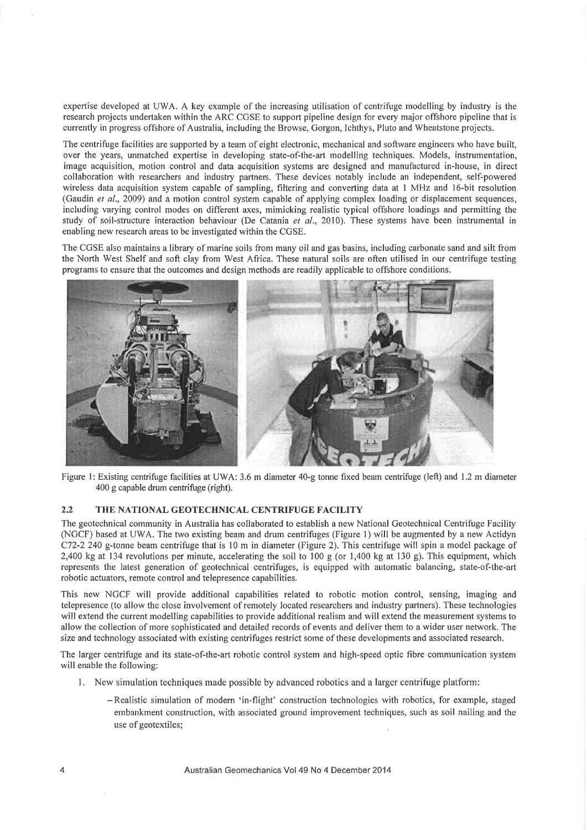expertise developed at UWA. A key example of the increasing utilisation of centrifuge modelling by industry is the research projects undertaken within the ARC CGSE to support pipeline design for every major offshore pipeline that is currently in progress offshore of Australia, including the Browse, Gorgon, Ichthys, Pluto and Wheatstone projects.

The centrifuge facilities are supported by a team of eight electronic, mechanical and software engineers who have built, over the years, unmatched expertise in developing state-of-the-art modelling techniques. Models, instrumentation, image acquisition, motion control and data acquisition systems are designed and manufactured in-house, in direct collaboration with researchers and industry partners. These devices notably include an independent, self-powered wireless data acquisition system capable of sampling, filtering and converting data at 1 MHz and 16-bit resolution (Gaudin et al., 2009) and a motion control system capable of applying complex loading or displacement sequences, including varying control modes on different axes, mimicking realistic typical offshore loadings and permitting the study of soil-structure interaction behaviour (De Catania et al., 2010). These systems have been instrumental in enabling new research areas to be investigated within the CGSE.

The CGSE also maintains a library of marine soils from many oil and gas basins, including carbonate sand and silt from the North West Shelf and soft clay from West Africa. These natural soils are often utilised in our centrifuge testing programs to ensure that the outcomes and design methods are readily applicable to offshore conditions.



Figure 1: Existing centrifuge facilities at UWA: 3.6 m diameter 40-g tonne fixed beam centrifuge (left) and 1.2 m diameter 400 g capable drum centrifuge (right).

#### $2.2$ THE NATIONAL GEOTECHNICAL CENTRIFUGE FACILITY

The geotechnical community in Australia has collaborated to establish a new National Geotechnical Centrifuge Facility (NGCF) based at UWA. The two existing beam and drum centrifuges (Figure 1) will be augmented by a new Actidyn C72-2 240 g-tonne beam centrifuge that is 10 m in diameter (Figure 2). This centrifuge will spin a model package of 2,400 kg at 134 revolutions per minute, accelerating the soil to 100 g (or 1,400 kg at 130 g). This equipment, which represents the latest generation of geotechnical centrifuges, is equipped with automatic balancing, state-of-the-art robotic actuators, remote control and telepresence capabilities.

This new NGCF will provide additional capabilities related to robotic motion control, sensing, imaging and telepresence (to allow the close involvement of remotely located researchers and industry partners). These technologies will extend the current modelling capabilities to provide additional realism and will extend the measurement systems to allow the collection of more sophisticated and detailed records of events and deliver them to a wider user network. The size and technology associated with existing centrifuges restrict some of these developments and associated research.

The larger centrifuge and its state-of-the-art robotic control system and high-speed optic fibre communication system will enable the following:

- 1. New simulation techniques made possible by advanced robotics and a larger centrifuge platform:
	- -Realistic simulation of modern 'in-flight' construction technologies with robotics, for example, staged embankment construction, with associated ground improvement techniques, such as soil nailing and the use of geotextiles;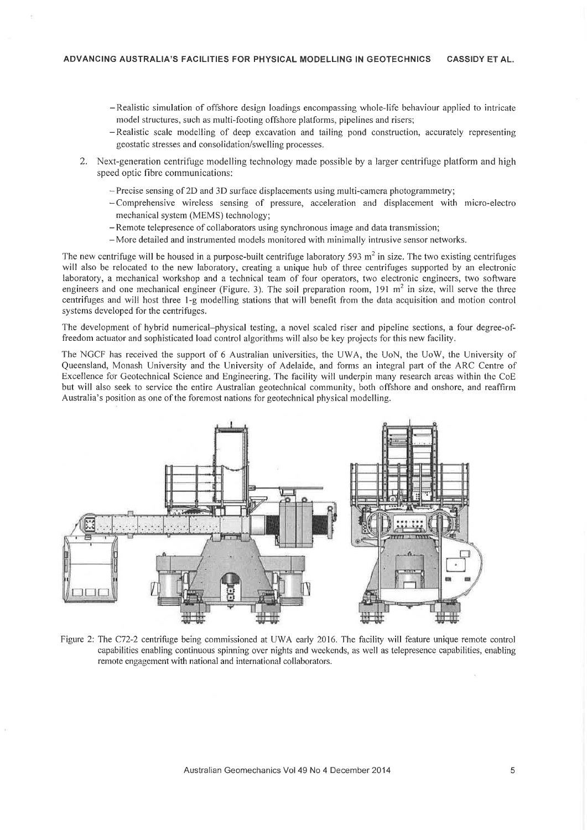- -Realistic simulation of offshore design loadings encompassing whole-life behaviour applied to intricate model structures, such as multi-footing offshore platforms, pipelines and risers;
- -Realistic scale modelling of deep excavation and tailing pond construction, accurately representing geostatic stresses and consolidation/swelling processes.
- 2. Next-generation centrifuge modelling technology made possible by a larger centrifuge platform and high speed optic fibre communications:
	- $-$  Precise sensing of 2D and 3D surface displacements using multi-camera photogrammetry;
	- -Comprehensive wireless sensing of pressure, acceleration and displacement with micro-electro mechanical system (MEMS) technology;
	- -Remote telepresence of collaborators using synchronous image and data transmission;
	- More detailed and instrumented models monitored with minimally intrusive sensor networks.

The new centrifuge will be housed in a purpose-built centrifuge laboratory 593  $m<sup>2</sup>$  in size. The two existing centrifuges will also be relocated to the new laboratory, creating a unique hub of three centrifuges supported by an electronic laboratory, a mechanical workshop and a technical team of four operators, two electronic engineers, two software engineers and one mechanical engineer (Figure. 3). The soil preparation room,  $191 \text{ m}^2$  in size, will serve the three centrifuges and will host three 1-g modelling stations that will benefit from the data acquisition and motion control systems developed for the centrifuges.

The development of hybrid numerical-physical testing, a novel scaled riser and pipeline sections, a four degree-offreedom actuator and sophisticated load control algorithms will also be key projects for this new facility.

The NGCF has received the support of 6 Australian universities, the UWA, the UoN, the UoW, the University of Queensland, Monash University and the University of Adelaide, and forms an integral part of the ARC Centre of Excellence for Geotechnical Science and Engineering. The facility will underpin many research areas within the CoE but will also seek to service the entire Australian geotechnical community, both offshore and onshore, and reaffirm Australia's position as one of the foremost nations for geotechnical physical modelling.



Figure 2: The C72-2 centrifuge being commissioned at UWA early 2016. The facility will feature unique remote control capabilities enabling continuous spinning over nights and weekends, as well as telepresence capabilities, enabling remote engagement with national and international collaborators.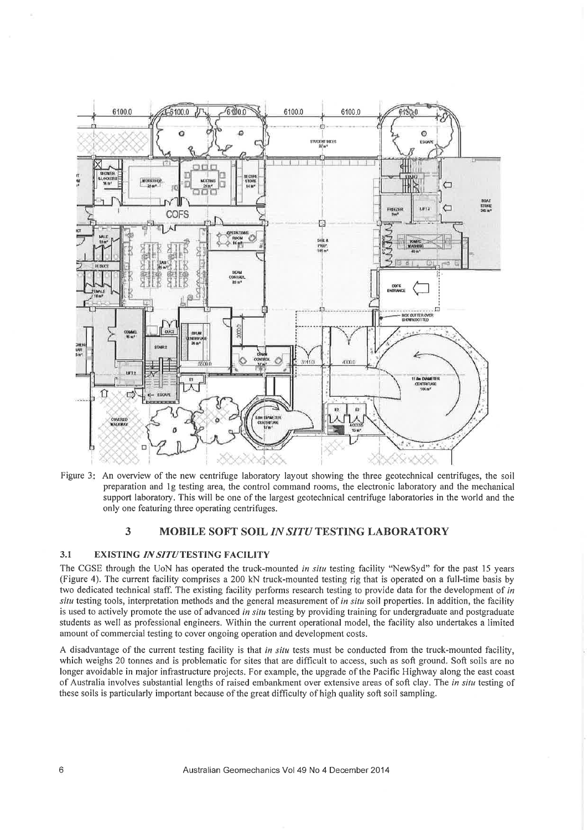

Figure 3: An overview of the new centrifuge laboratory layout showing the three geotechnical centrifuges, the soil preparation and 1g testing area, the control command rooms, the electronic laboratory and the mechanical support laboratory. This will be one of the largest geotechnical centrifuge laboratories in the world and the only one featuring three operating centrifuges.

#### 3 MOBILE SOFT SOIL IN SITU TESTING LABORATORY

#### $3.1$ **EXISTING IN SITUTESTING FACILITY**

The CGSE through the UoN has operated the truck-mounted in situ testing facility "NewSyd" for the past 15 years (Figure 4). The current facility comprises a 200 kN truck-mounted testing rig that is operated on a full-time basis by two dedicated technical staff. The existing facility performs research testing to provide data for the development of in situ testing tools, interpretation methods and the general measurement of in situ soil properties. In addition, the facility is used to actively promote the use of advanced in situ testing by providing training for undergraduate and postgraduate students as well as professional engineers. Within the current operational model, the facility also undertakes a limited amount of commercial testing to cover ongoing operation and development costs.

A disadvantage of the current testing facility is that in situ tests must be conducted from the truck-mounted facility, which weighs 20 tonnes and is problematic for sites that are difficult to access, such as soft ground. Soft soils are no longer avoidable in major infrastructure projects. For example, the upgrade of the Pacific Highway along the east coast of Australia involves substantial lengths of raised embankment over extensive areas of soft clay. The in situ testing of these soils is particularly important because of the great difficulty of high quality soft soil sampling.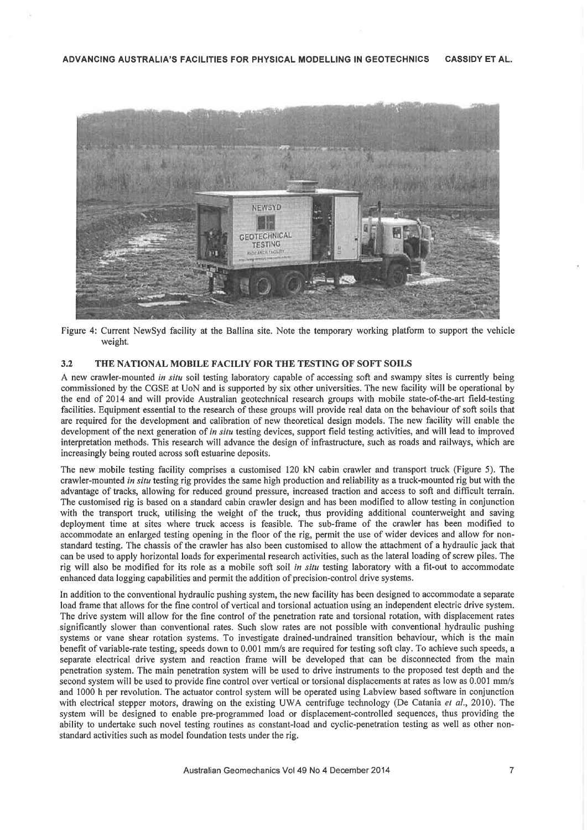

Figure 4: Current NewSyd facility at the Ballina site. Note the temporary working platform to support the vehicle weight.

#### $3.2$ THE NATIONAL MOBILE FACILIY FOR THE TESTING OF SOFT SOILS

A new crawler-mounted in situ soil testing laboratory capable of accessing soft and swampy sites is currently being commissioned by the CGSE at UoN and is supported by six other universities. The new facility will be operational by the end of 2014 and will provide Australian geotechnical research groups with mobile state-of-the-art field-testing facilities. Equipment essential to the research of these groups will provide real data on the behaviour of soft soils that are required for the development and calibration of new theoretical design models. The new facility will enable the development of the next generation of in situ testing devices, support field testing activities, and will lead to improved interpretation methods. This research will advance the design of infrastructure, such as roads and railways, which are increasingly being routed across soft estuarine deposits.

The new mobile testing facility comprises a customised 120 kN cabin crawler and transport truck (Figure 5). The crawler-mounted in situ testing rig provides the same high production and reliability as a truck-mounted rig but with the advantage of tracks, allowing for reduced ground pressure, increased traction and access to soft and difficult terrain. The customised rig is based on a standard cabin crawler design and has been modified to allow testing in conjunction with the transport truck, utilising the weight of the truck, thus providing additional counterweight and saving deployment time at sites where truck access is feasible. The sub-frame of the crawler has been modified to accommodate an enlarged testing opening in the floor of the rig, permit the use of wider devices and allow for nonstandard testing. The chassis of the crawler has also been customised to allow the attachment of a hydraulic jack that can be used to apply horizontal loads for experimental research activities, such as the lateral loading of screw piles. The rig will also be modified for its role as a mobile soft soil *in situ* testing laboratory with a fit-out to accommodate enhanced data logging capabilities and permit the addition of precision-control drive systems.

In addition to the conventional hydraulic pushing system, the new facility has been designed to accommodate a separate load frame that allows for the fine control of vertical and torsional actuation using an independent electric drive system. The drive system will allow for the fine control of the penetration rate and torsional rotation, with displacement rates significantly slower than conventional rates. Such slow rates are not possible with conventional hydraulic pushing systems or vane shear rotation systems. To investigate drained-undrained transition behaviour, which is the main benefit of variable-rate testing, speeds down to 0.001 mm/s are required for testing soft clay. To achieve such speeds, a separate electrical drive system and reaction frame will be developed that can be disconnected from the main penetration system. The main penetration system will be used to drive instruments to the proposed test depth and the second system will be used to provide fine control over vertical or torsional displacements at rates as low as 0.001 mm/s and 1000 h per revolution. The actuator control system will be operated using Labview based software in conjunction with electrical stepper motors, drawing on the existing UWA centrifuge technology (De Catania et al., 2010). The system will be designed to enable pre-programmed load or displacement-controlled sequences, thus providing the ability to undertake such novel testing routines as constant-load and cyclic-penetration testing as well as other nonstandard activities such as model foundation tests under the rig.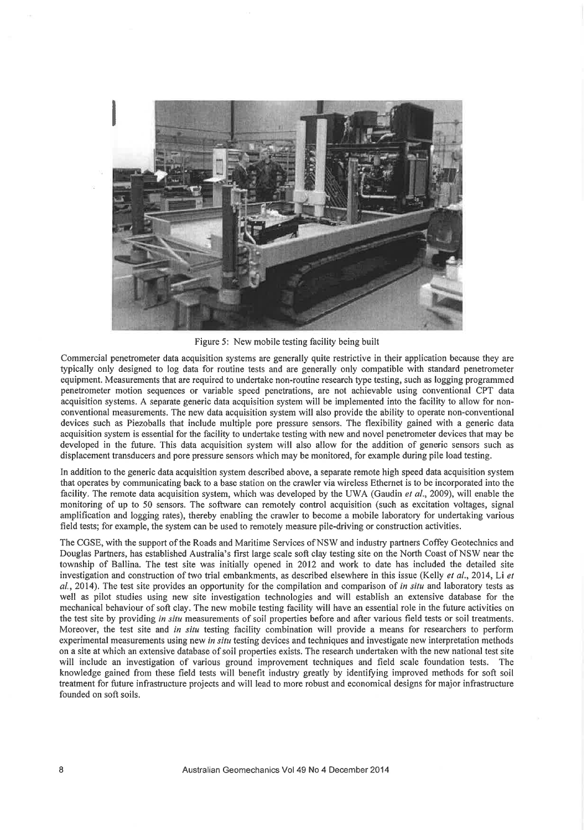

Figure 5: New mobile testing facility being built

Commercial penetrometer data acquisition systems are generally quite restrictive in their application because they are typically only designed to log data for routine tests and are generally only compatible with standard penetrometer equipment. Measurements that are required to undertake non-routine research type testing, such as logging programmed penetrometer motion sequences or variable speed penetrations, are not achievable using conventional CPT data acquisition systems. A separate generic data acquisition system will be implemented into the facility to allow for nonconventional measurements. The new data acquisition system will also provide the ability to operate non-conventional devices such as Piezoballs that include multiple pore pressure sensors. The flexibility gained with a generic data acquisition system is essential for the facility to undertake testing with new and novel penetrometer devices that may be developed in the future. This data acquisition system will also allow for the addition of generic sensors such as displacement transducers and pore pressure sensors which may be monitored, for example during pile load testing.

In addition to the generic data acquisition system described above, a separate remote high speed data acquisition system that operates by communicating back to a base station on the crawler via wireless Ethernet is to be incorporated into the facility. The remote data acquisition system, which was developed by the UWA (Gaudin et al., 2009), will enable the monitoring of up to 50 sensors. The software can remotely control acquisition (such as excitation voltages, signal amplification and logging rates), thereby enabling the crawler to become a mobile laboratory for undertaking various field tests; for example, the system can be used to remotely measure pile-driving or construction activities.

The CGSE, with the support of the Roads and Maritime Services of NSW and industry partners Coffey Geotechnics and Douglas Partners, has established Australia's first large scale soft clay testing site on the North Coast of NSW near the township of Ballina. The test site was initially opened in 2012 and work to date has included the detailed site investigation and construction of two trial embankments, as described elsewhere in this issue (Kelly et al., 2014, Li et al., 2014). The test site provides an opportunity for the compilation and comparison of in situ and laboratory tests as well as pilot studies using new site investigation technologies and will establish an extensive database for the mechanical behaviour of soft clay. The new mobile testing facility will have an essential role in the future activities on the test site by providing in situ measurements of soil properties before and after various field tests or soil treatments. Moreover, the test site and in situ testing facility combination will provide a means for researchers to perform experimental measurements using new in situ testing devices and techniques and investigate new interpretation methods on a site at which an extensive database of soil properties exists. The research undertaken with the new national test site will include an investigation of various ground improvement techniques and field scale foundation tests. The knowledge gained from these field tests will benefit industry greatly by identifying improved methods for soft soil treatment for future infrastructure projects and will lead to more robust and economical designs for major infrastructure founded on soft soils.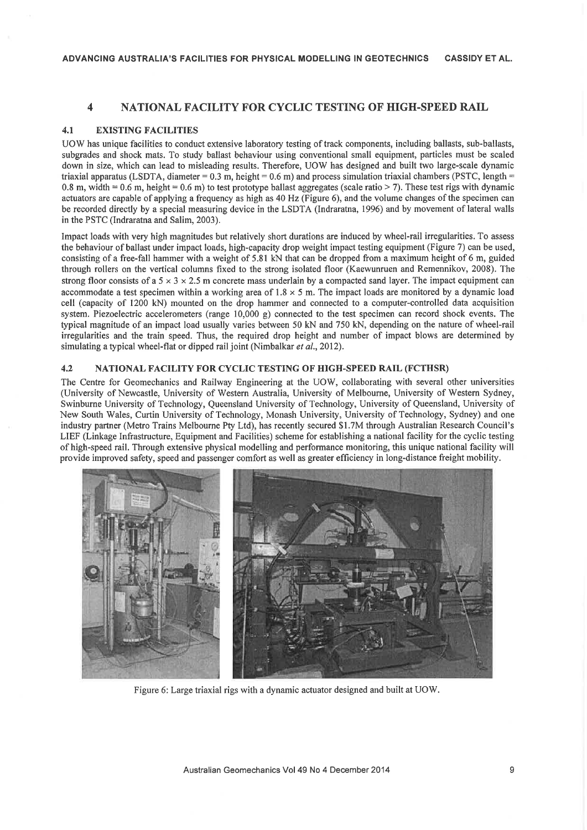#### $\overline{\mathbf{4}}$ **NATIONAL FACILITY FOR CYCLIC TESTING OF HIGH-SPEED RAIL**

#### $4.1$ **EXISTING FACILITIES**

UOW has unique facilities to conduct extensive laboratory testing of track components, including ballasts, sub-ballasts, subgrades and shock mats. To study ballast behaviour using conventional small equipment, particles must be scaled down in size, which can lead to misleading results. Therefore, UOW has designed and built two large-scale dynamic triaxial apparatus (LSDTA, diameter = 0.3 m, height = 0.6 m) and process simulation triaxial chambers (PSTC, length = 0.8 m, width = 0.6 m, height = 0.6 m) to test prototype ballast aggregates (scale ratio > 7). These test rigs with dynamic actuators are capable of applying a frequency as high as 40 Hz (Figure 6), and the volume changes of the specimen can be recorded directly by a special measuring device in the LSDTA (Indraratna, 1996) and by movement of lateral walls in the PSTC (Indraratna and Salim, 2003).

Impact loads with very high magnitudes but relatively short durations are induced by wheel-rail irregularities. To assess the behaviour of ballast under impact loads, high-capacity drop weight impact testing equipment (Figure 7) can be used, consisting of a free-fall hammer with a weight of 5.81 kN that can be dropped from a maximum height of 6 m, guided through rollers on the vertical columns fixed to the strong isolated floor (Kaewunruen and Remennikov, 2008). The strong floor consists of a  $5 \times 3 \times 2.5$  m concrete mass underlain by a compacted sand layer. The impact equipment can accommodate a test specimen within a working area of  $1.8 \times 5$  m. The impact loads are monitored by a dynamic load cell (capacity of 1200 kN) mounted on the drop hammer and connected to a computer-controlled data acquisition system. Piezoelectric accelerometers (range  $10,000 \text{ g}$ ) connected to the test specimen can record shock events. The typical magnitude of an impact load usually varies between 50 kN and 750 kN, depending on the nature of wheel-rail irregularities and the train speed. Thus, the required drop height and number of impact blows are determined by simulating a typical wheel-flat or dipped rail joint (Nimbalkar et al., 2012).

#### NATIONAL FACILITY FOR CYCLIC TESTING OF HIGH-SPEED RAIL (FCTHSR)  $4.2$

The Centre for Geomechanics and Railway Engineering at the UOW, collaborating with several other universities (University of Newcastle, University of Western Australia, University of Melbourne, University of Western Sydney, Swinburne University of Technology, Queensland University of Technology, University of Queensland, University of New South Wales, Curtin University of Technology, Monash University, University of Technology, Sydney) and one industry partner (Metro Trains Melbourne Pty Ltd), has recently secured \$1.7M through Australian Research Council's LIEF (Linkage Infrastructure, Equipment and Facilities) scheme for establishing a national facility for the cyclic testing of high-speed rail. Through extensive physical modelling and performance monitoring, this unique national facility will provide improved safety, speed and passenger comfort as well as greater efficiency in long-distance freight mobility.



Figure 6: Large triaxial rigs with a dynamic actuator designed and built at UOW.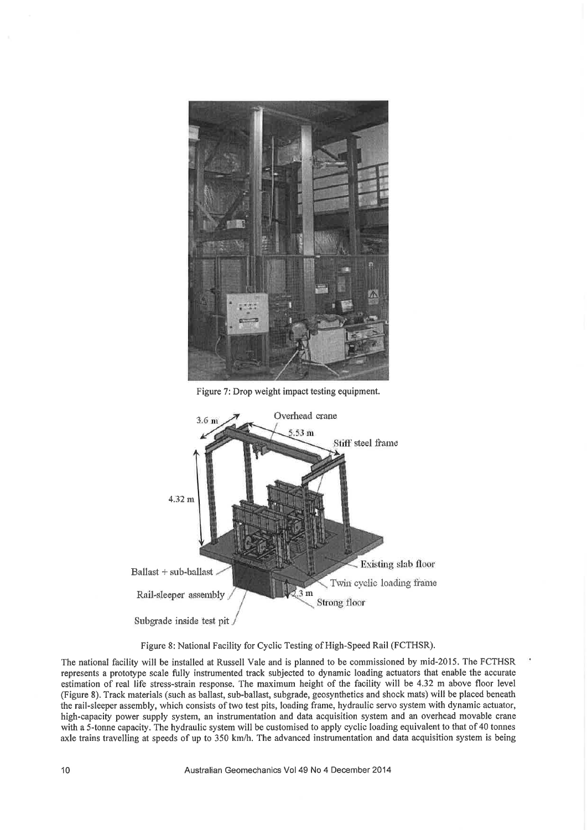

Figure 7: Drop weight impact testing equipment.



Figure 8: National Facility for Cyclic Testing of High-Speed Rail (FCTHSR).

The national facility will be installed at Russell Vale and is planned to be commissioned by mid-2015. The FCTHSR represents a prototype scale fully instrumented track subjected to dynamic loading actuators that enable the accurate estimation of real life stress-strain response. The maximum height of the facility will be 4.32 m above floor level (Figure 8). Track materials (such as ballast, sub-ballast, subgrade, geosynthetics and shock mats) will be placed beneath the rail-sleeper assembly, which consists of two test pits, loading frame, hydraulic servo system with dynamic actuator, high-capacity power supply system, an instrumentation and data acquisition system and an overhead movable crane with a 5-tonne capacity. The hydraulic system will be customised to apply cyclic loading equivalent to that of 40 tonnes axle trains travelling at speeds of up to 350 km/h. The advanced instrumentation and data acquisition system is being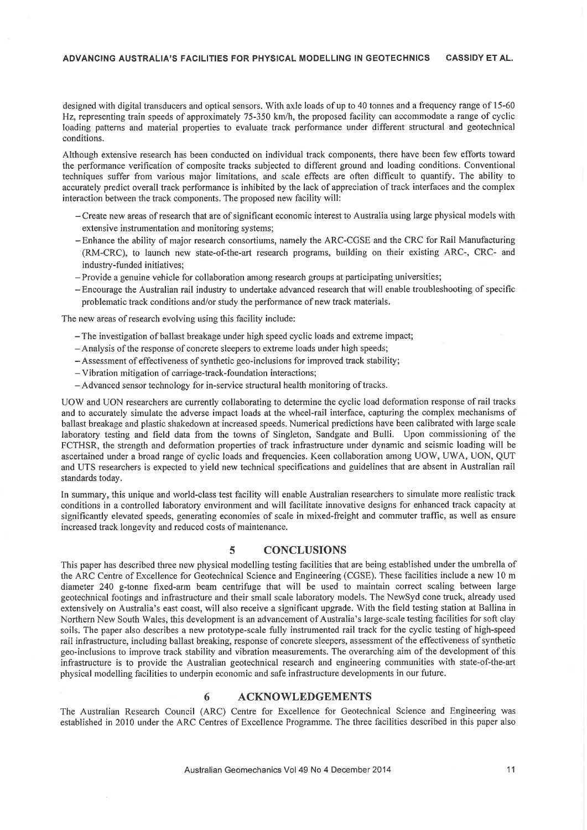designed with digital transducers and optical sensors. With axle loads of up to 40 tonnes and a frequency range of 15-60 Hz, representing train speeds of approximately 75-350 km/h, the proposed facility can accommodate a range of cyclic loading patterns and material properties to evaluate track performance under different structural and geotechnical conditions.

Although extensive research has been conducted on individual track components, there have been few efforts toward the performance verification of composite tracks subjected to different ground and loading conditions. Conventional techniques suffer from various major limitations, and scale effects are often difficult to quantify. The ability to accurately predict overall track performance is inhibited by the lack of appreciation of track interfaces and the complex interaction between the track components. The proposed new facility will:

- Create new areas of research that are of significant economic interest to Australia using large physical models with extensive instrumentation and monitoring systems;
- -Enhance the ability of major research consortiums, namely the ARC-CGSE and the CRC for Rail Manufacturing (RM-CRC), to launch new state-of-the-art research programs, building on their existing ARC-, CRC- and industry-funded initiatives;
- Provide a genuine vehicle for collaboration among research groups at participating universities;
- Encourage the Australian rail industry to undertake advanced research that will enable troubleshooting of specific problematic track conditions and/or study the performance of new track materials.

The new areas of research evolving using this facility include:

- The investigation of ballast breakage under high speed cyclic loads and extreme impact;
- Analysis of the response of concrete sleepers to extreme loads under high speeds;
- Assessment of effectiveness of synthetic geo-inclusions for improved track stability;
- Vibration mitigation of carriage-track-foundation interactions;
- Advanced sensor technology for in-service structural health monitoring of tracks.

UOW and UON researchers are currently collaborating to determine the cyclic load deformation response of rail tracks and to accurately simulate the adverse impact loads at the wheel-rail interface, capturing the complex mechanisms of ballast breakage and plastic shakedown at increased speeds. Numerical predictions have been calibrated with large scale laboratory testing and field data from the towns of Singleton, Sandgate and Bulli. Upon commissioning of the FCTHSR, the strength and deformation properties of track infrastructure under dynamic and seismic loading will be ascertained under a broad range of cyclic loads and frequencies. Keen collaboration among UOW, UWA, UON, QUT and UTS researchers is expected to yield new technical specifications and guidelines that are absent in Australian rail standards today.

In summary, this unique and world-class test facility will enable Australian researchers to simulate more realistic track conditions in a controlled laboratory environment and will facilitate innovative designs for enhanced track capacity at significantly elevated speeds, generating economies of scale in mixed-freight and commuter traffic, as well as ensure increased track longevity and reduced costs of maintenance.

#### $\overline{5}$ **CONCLUSIONS**

This paper has described three new physical modelling testing facilities that are being established under the umbrella of the ARC Centre of Excellence for Geotechnical Science and Engineering (CGSE). These facilities include a new 10 m diameter 240 g-tonne fixed-arm beam centrifuge that will be used to maintain correct scaling between large geotechnical footings and infrastructure and their small scale laboratory models. The NewSyd cone truck, already used extensively on Australia's east coast, will also receive a significant upgrade. With the field testing station at Ballina in Northern New South Wales, this development is an advancement of Australia's large-scale testing facilities for soft clay soils. The paper also describes a new prototype-scale fully instrumented rail track for the cyclic testing of high-speed rail infrastructure, including ballast breaking, response of concrete sleepers, assessment of the effectiveness of synthetic geo-inclusions to improve track stability and vibration measurements. The overarching aim of the development of this infrastructure is to provide the Australian geotechnical research and engineering communities with state-of-the-art physical modelling facilities to underpin economic and safe infrastructure developments in our future.

#### 6 **ACKNOWLEDGEMENTS**

The Australian Research Council (ARC) Centre for Excellence for Geotechnical Science and Engineering was established in 2010 under the ARC Centres of Excellence Programme. The three facilities described in this paper also